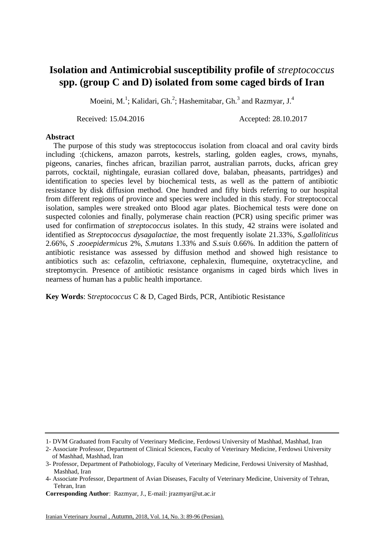## **Isolation and Antimicrobial susceptibility profile of** *streptococcus* **spp. (group C and D) isolated from some caged birds of Iran**

Moeini, M.<sup>1</sup>; Kalidari, Gh.<sup>2</sup>; Hashemitabar, Gh.<sup>3</sup> and Razmyar, J.<sup>4</sup>

Received: 15.04.2016 Accepted: 28.10.2017

## **Abstract**

 The purpose of this study was streptococcus isolation from cloacal and oral cavity birds including :(chickens, amazon parrots, kestrels, starling, golden eagles, crows, mynahs, pigeons, canaries, finches african, brazilian parrot, australian parrots, ducks, african grey parrots, cocktail, nightingale, eurasian collared dove, balaban, pheasants, partridges) and identification to species level by biochemical tests, as well as the pattern of antibiotic resistance by disk diffusion method. One hundred and fifty birds referring to our hospital from different regions of province and species were included in this study. For streptococcal isolation, samples were streaked onto Blood agar plates. Biochemical tests were done on suspected colonies and finally, polymerase chain reaction (PCR) using specific primer was used for confirmation of *streptococcus* isolates. In this study, 42 strains were isolated and identified as *Streptococcus dysagalactiae*, the most frequently isolate 21.33%, *S.galloliticus* 2.66%, *S .zooepidermicus* 2%, *S.mutans* 1.33% and *S.suis* 0.66%. In addition the pattern of antibiotic resistance was assessed by diffusion method and showed high resistance to antibiotics such as: cefazolin, ceftriaxone, cephalexin, flumequine, oxytetracycline, and streptomycin. Presence of antibiotic resistance organisms in caged birds which lives in nearness of human has a public health importance.

**Key Words**: S*treptococcus* C & D, Caged Birds, PCR, Antibiotic Resistance

<sup>1-</sup> DVM Graduated from Faculty of Veterinary Medicine, Ferdowsi University of Mashhad, Mashhad, Iran

<sup>2-</sup> Associate Professor, Department of Clinical Sciences, Faculty of Veterinary Medicine, Ferdowsi University of Mashhad, Mashhad, Iran

<sup>3-</sup> Professor, Department of Pathobiology, Faculty of Veterinary Medicine, Ferdowsi University of Mashhad, Mashhad, Iran

<sup>4-</sup> Associate Professor, Department of Avian Diseases, Faculty of Veterinary Medicine, University of Tehran, Tehran, Iran

**Corresponding Author**: Razmyar, J., E-mail: jrazmyar@ut.ac.ir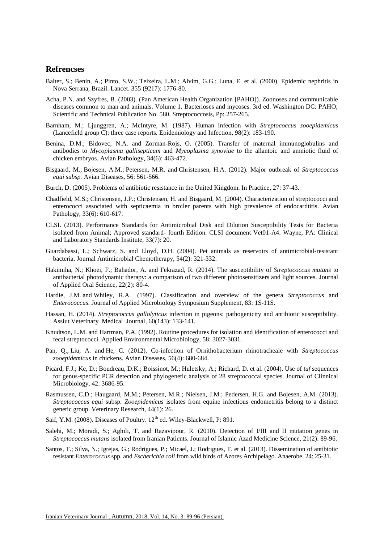## **Refrencses**

- Balter, S.; Benin, A.; Pinto, S.W.; Teixeira, L.M.; Alvim, G.G.; Luna, E. et al. (2000). Epidemic nephritis in Nova Serrana, Brazil. Lancet. 355 (9217): 1776-80.
- Acha, P.N. and Szyfres, B. (2003). (Pan American Health Organization [PAHO]). Zoonoses and communicable diseases common to man and animals. Volume 1. Bacterioses and mycoses. 3rd ed. Washington DC: PAHO; Scientific and Technical Publication No. 580. Streptococcosis, Pp: 257-265.
- Barnham, M.; Ljunggren, A.; McIntyre, M. (1987). Human infection with *Streptococcus zooepidemicus* (Lancefield group C): three case reports. Epidemiology and Infection, 98(2): 183-190.
- Benina, D.M.; Bidovec, N.A. and Zorman-Rojs, O. (2005). Transfer of maternal immunoglobulins and antibodies to *Mycoplasma gallisepticum* and *Mycoplasma synoviae* to the allantoic and amniotic fluid of chicken embryos. Avian Pathology, 34(6): 463-472.
- Bisgaard, M.; Bojesen, A.M.; Petersen, M.R. and Christensen, H.A. (2012). Major outbreak of *Streptococcus equi subsp.* Avian Diseases, 56: 561-566.
- Burch, D. (2005). Problems of antibiotic resistance in the United Kingdom. In Practice, 27: 37-43.
- Chadfield, M.S.; Christensen, J.P.; Christensen, H. and Bisgaard, M. (2004). Characterization of streptococci and enterococci associated with septicaemia in broiler parents with high prevalence of endocardtitis. Avian Pathology, 33(6): 610-617.
- CLSI. (2013). Performance Standards for Antimicrobial Disk and Dilution Susceptibility Tests for Bacteria isolated from Animal; Approved standard- fourth Edition. CLSI document Vet01-A4. Wayne, PA: Clinical and Laboratory Standards Institute, 33(7): 20.
- Guardabassi, L.; Schwarz, S. and Lloyd, D.H. (2004). Pet animals as reservoirs of antimicrobial-resistant bacteria. Journal Antimicrobial Chemotherapy, 54(2): 321-332.
- Hakimiha, N.; Khoei, F.; Bahador, A. and Fekrazad, R. (2014). The susceptibility of *Streptococcus mutans* to antibacterial photodynamic therapy: a comparison of two different photosensitizers and light sources. Journal of Applied Oral Science, 22(2): 80-4.
- Hardie, J.M. and Whiley, R.A. (1997). Classification and overview of the genera *Streptococcus* and *Enterococcus*. Journal of Applied Microbiology Symposium Supplement, 83: 1S-11S.
- Hassan, H. (2014). *Streptococcus gallolyticus* infection in pigeons: pathogenicity and antibiotic susceptibility. Assiut Veterinary Medical Journal, 60(143): 133-141.
- Knudtson, L.M. and Hartman, P.A. (1992). Routine procedures for isolation and identification of enterococci and fecal streptococci. Applied Environmental Microbiology, 58: 3027-3031.
- [Pan,](http://www.ncbi.nlm.nih.gov/pubmed/?term=Pan%20Q%5BAuthor%5D&cauthor=true&cauthor_uid=23397838) Q.; [Liu,](http://www.ncbi.nlm.nih.gov/pubmed/?term=Liu%20A%5BAuthor%5D&cauthor=true&cauthor_uid=23397838) A. and [He, C.](http://www.ncbi.nlm.nih.gov/pubmed/?term=He%20C%5BAuthor%5D&cauthor=true&cauthor_uid=23397838) (2012). Co-infection of Ornithobacterium rhinotracheale with *Streptococcus zooepidemicus* in chickens. Avian Diseases, 56(4): 680-684.
- Picard, F.J.; Ke, D.; Boudreau, D.K.; Boissinot, M.; Huletsky, A.; Richard, D. et al. (2004). Use of *tuf* sequences for genus-specific PCR detection and phylogenetic analysis of 28 streptococcal species. Journal of Clinnical Microbiology, 42: 3686-95.
- Rasmussen, C.D.; Haugaard, M.M.; Petersen, M.R.; Nielsen, J.M.; Pedersen, H.G. and Bojesen, A.M. (2013). *Streptococcus equi* subsp*. Zooepidemicus* isolates from equine infectious endometritis belong to a distinct genetic group. Veterinary Research, 44(1): 26.
- Saif, Y.M. (2008). Diseases of Poultry. 12<sup>th</sup> ed. Wiley-Blackwell, P: 891.
- Salehi, M.; Moradi, S.; Aghili, T. and Razavipour, R. (2010). Detection of I/III and II mutation genes in *Streptococcus mutans* isolated from Iranian Patients. Journal of Islamic Azad Medicine Science, 21(2): 89-96.
- Santos, T.; Silva, N.; Igrejas, G.; Rodrigues, P.; Micael, J.; Rodrigues, T. et al. (2013). Dissemination of antibiotic resistant *Enterococcus* spp. and *Escherichia coli* from wild birds of Azores Archipelago. Anaerobe. 24: 25-31.